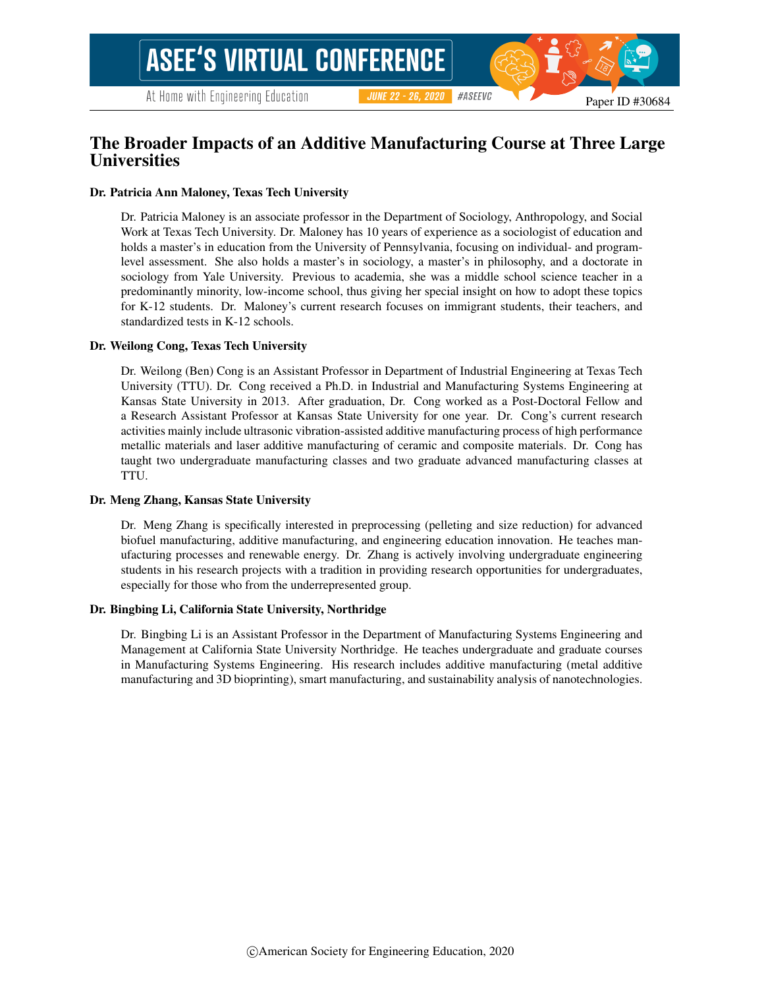# The Broader Impacts of an Additive Manufacturing Course at Three Large Universities

### Dr. Patricia Ann Maloney, Texas Tech University

Dr. Patricia Maloney is an associate professor in the Department of Sociology, Anthropology, and Social Work at Texas Tech University. Dr. Maloney has 10 years of experience as a sociologist of education and holds a master's in education from the University of Pennsylvania, focusing on individual- and programlevel assessment. She also holds a master's in sociology, a master's in philosophy, and a doctorate in sociology from Yale University. Previous to academia, she was a middle school science teacher in a predominantly minority, low-income school, thus giving her special insight on how to adopt these topics for K-12 students. Dr. Maloney's current research focuses on immigrant students, their teachers, and standardized tests in K-12 schools.

### Dr. Weilong Cong, Texas Tech University

Dr. Weilong (Ben) Cong is an Assistant Professor in Department of Industrial Engineering at Texas Tech University (TTU). Dr. Cong received a Ph.D. in Industrial and Manufacturing Systems Engineering at Kansas State University in 2013. After graduation, Dr. Cong worked as a Post-Doctoral Fellow and a Research Assistant Professor at Kansas State University for one year. Dr. Cong's current research activities mainly include ultrasonic vibration-assisted additive manufacturing process of high performance metallic materials and laser additive manufacturing of ceramic and composite materials. Dr. Cong has taught two undergraduate manufacturing classes and two graduate advanced manufacturing classes at TTU.

### Dr. Meng Zhang, Kansas State University

Dr. Meng Zhang is specifically interested in preprocessing (pelleting and size reduction) for advanced biofuel manufacturing, additive manufacturing, and engineering education innovation. He teaches manufacturing processes and renewable energy. Dr. Zhang is actively involving undergraduate engineering students in his research projects with a tradition in providing research opportunities for undergraduates, especially for those who from the underrepresented group.

### Dr. Bingbing Li, California State University, Northridge

Dr. Bingbing Li is an Assistant Professor in the Department of Manufacturing Systems Engineering and Management at California State University Northridge. He teaches undergraduate and graduate courses in Manufacturing Systems Engineering. His research includes additive manufacturing (metal additive manufacturing and 3D bioprinting), smart manufacturing, and sustainability analysis of nanotechnologies.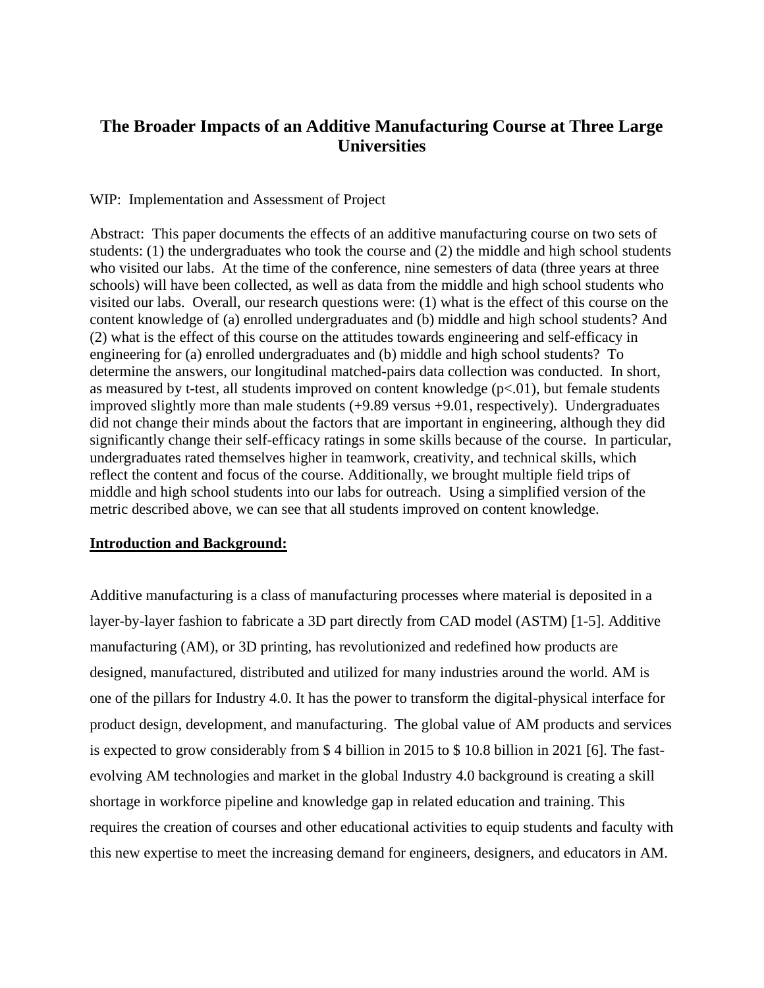# **The Broader Impacts of an Additive Manufacturing Course at Three Large Universities**

# WIP: Implementation and Assessment of Project

Abstract: This paper documents the effects of an additive manufacturing course on two sets of students: (1) the undergraduates who took the course and (2) the middle and high school students who visited our labs. At the time of the conference, nine semesters of data (three years at three schools) will have been collected, as well as data from the middle and high school students who visited our labs. Overall, our research questions were: (1) what is the effect of this course on the content knowledge of (a) enrolled undergraduates and (b) middle and high school students? And (2) what is the effect of this course on the attitudes towards engineering and self-efficacy in engineering for (a) enrolled undergraduates and (b) middle and high school students? To determine the answers, our longitudinal matched-pairs data collection was conducted. In short, as measured by t-test, all students improved on content knowledge  $(p<.01)$ , but female students improved slightly more than male students (+9.89 versus +9.01, respectively). Undergraduates did not change their minds about the factors that are important in engineering, although they did significantly change their self-efficacy ratings in some skills because of the course. In particular, undergraduates rated themselves higher in teamwork, creativity, and technical skills, which reflect the content and focus of the course. Additionally, we brought multiple field trips of middle and high school students into our labs for outreach. Using a simplified version of the metric described above, we can see that all students improved on content knowledge.

### **Introduction and Background:**

Additive manufacturing is a class of manufacturing processes where material is deposited in a layer-by-layer fashion to fabricate a 3D part directly from CAD model (ASTM) [1-5]. Additive manufacturing (AM), or 3D printing, has revolutionized and redefined how products are designed, manufactured, distributed and utilized for many industries around the world. AM is one of the pillars for Industry 4.0. It has the power to transform the digital-physical interface for product design, development, and manufacturing. The global value of AM products and services is expected to grow considerably from \$ 4 billion in 2015 to \$ 10.8 billion in 2021 [6]. The fastevolving AM technologies and market in the global Industry 4.0 background is creating a skill shortage in workforce pipeline and knowledge gap in related education and training. This requires the creation of courses and other educational activities to equip students and faculty with this new expertise to meet the increasing demand for engineers, designers, and educators in AM.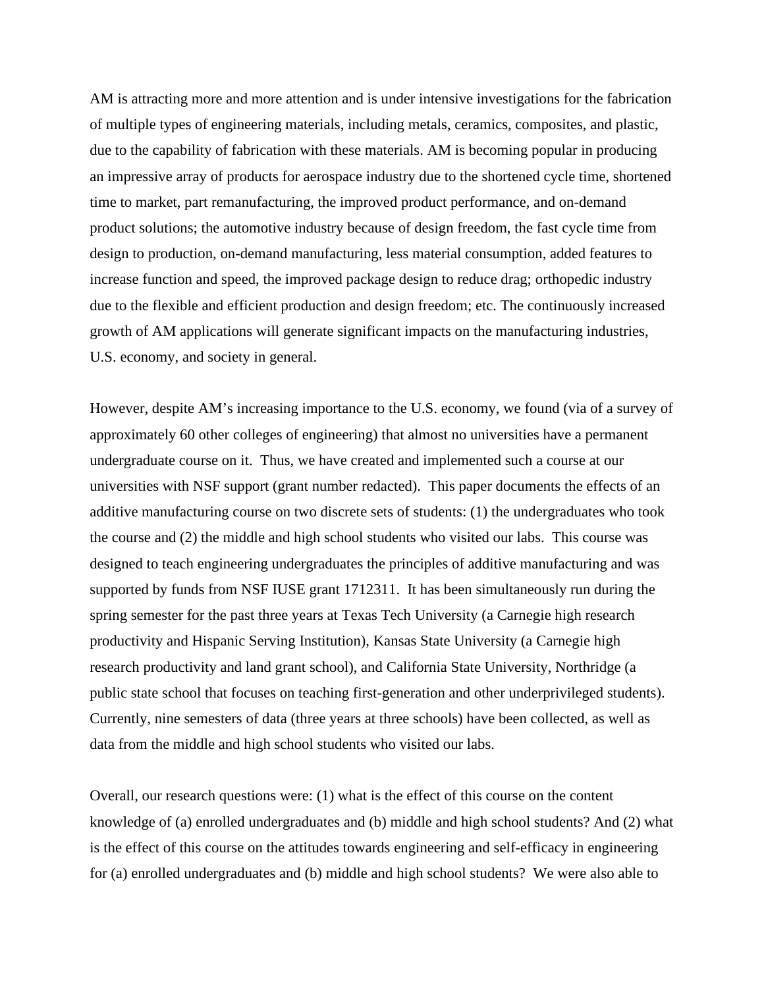AM is attracting more and more attention and is under intensive investigations for the fabrication of multiple types of engineering materials, including metals, ceramics, composites, and plastic, due to the capability of fabrication with these materials. AM is becoming popular in producing an impressive array of products for aerospace industry due to the shortened cycle time, shortened time to market, part remanufacturing, the improved product performance, and on-demand product solutions; the automotive industry because of design freedom, the fast cycle time from design to production, on-demand manufacturing, less material consumption, added features to increase function and speed, the improved package design to reduce drag; orthopedic industry due to the flexible and efficient production and design freedom; etc. The continuously increased growth of AM applications will generate significant impacts on the manufacturing industries, U.S. economy, and society in general.

However, despite AM's increasing importance to the U.S. economy, we found (via of a survey of approximately 60 other colleges of engineering) that almost no universities have a permanent undergraduate course on it. Thus, we have created and implemented such a course at our universities with NSF support (grant number redacted). This paper documents the effects of an additive manufacturing course on two discrete sets of students: (1) the undergraduates who took the course and (2) the middle and high school students who visited our labs. This course was designed to teach engineering undergraduates the principles of additive manufacturing and was supported by funds from NSF IUSE grant 1712311. It has been simultaneously run during the spring semester for the past three years at Texas Tech University (a Carnegie high research productivity and Hispanic Serving Institution), Kansas State University (a Carnegie high research productivity and land grant school), and California State University, Northridge (a public state school that focuses on teaching first-generation and other underprivileged students). Currently, nine semesters of data (three years at three schools) have been collected, as well as data from the middle and high school students who visited our labs.

Overall, our research questions were: (1) what is the effect of this course on the content knowledge of (a) enrolled undergraduates and (b) middle and high school students? And (2) what is the effect of this course on the attitudes towards engineering and self-efficacy in engineering for (a) enrolled undergraduates and (b) middle and high school students? We were also able to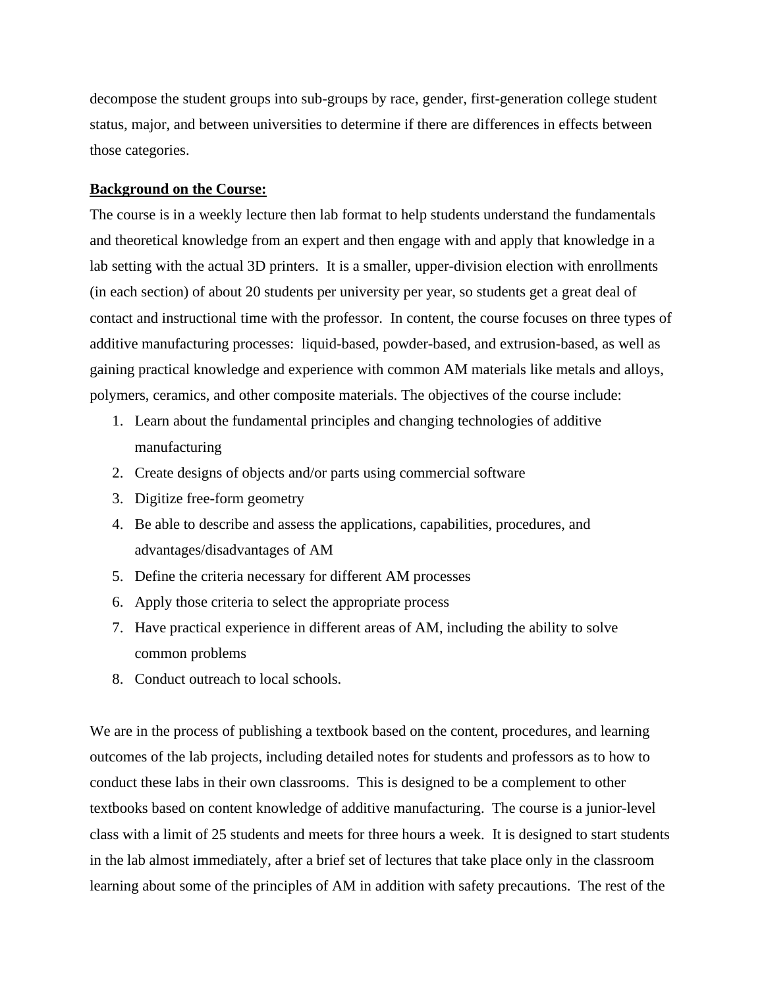decompose the student groups into sub-groups by race, gender, first-generation college student status, major, and between universities to determine if there are differences in effects between those categories.

## **Background on the Course:**

The course is in a weekly lecture then lab format to help students understand the fundamentals and theoretical knowledge from an expert and then engage with and apply that knowledge in a lab setting with the actual 3D printers. It is a smaller, upper-division election with enrollments (in each section) of about 20 students per university per year, so students get a great deal of contact and instructional time with the professor. In content, the course focuses on three types of additive manufacturing processes: liquid-based, powder-based, and extrusion-based, as well as gaining practical knowledge and experience with common AM materials like metals and alloys, polymers, ceramics, and other composite materials. The objectives of the course include:

- 1. Learn about the fundamental principles and changing technologies of additive manufacturing
- 2. Create designs of objects and/or parts using commercial software
- 3. Digitize free-form geometry
- 4. Be able to describe and assess the applications, capabilities, procedures, and advantages/disadvantages of AM
- 5. Define the criteria necessary for different AM processes
- 6. Apply those criteria to select the appropriate process
- 7. Have practical experience in different areas of AM, including the ability to solve common problems
- 8. Conduct outreach to local schools.

We are in the process of publishing a textbook based on the content, procedures, and learning outcomes of the lab projects, including detailed notes for students and professors as to how to conduct these labs in their own classrooms. This is designed to be a complement to other textbooks based on content knowledge of additive manufacturing. The course is a junior-level class with a limit of 25 students and meets for three hours a week. It is designed to start students in the lab almost immediately, after a brief set of lectures that take place only in the classroom learning about some of the principles of AM in addition with safety precautions. The rest of the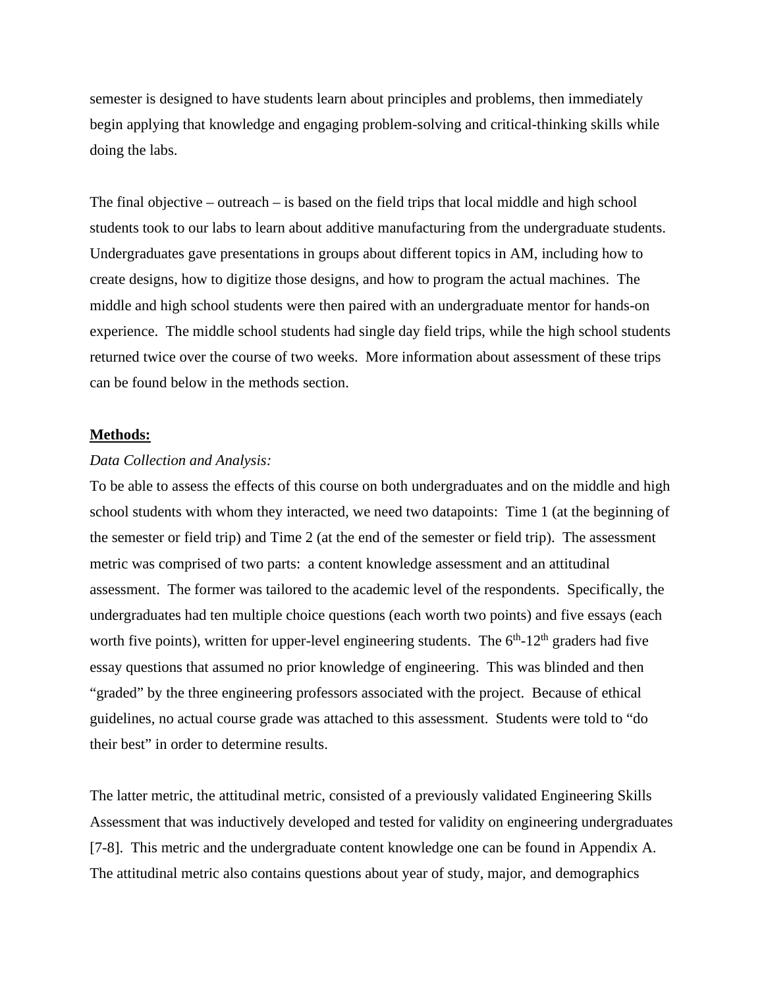semester is designed to have students learn about principles and problems, then immediately begin applying that knowledge and engaging problem-solving and critical-thinking skills while doing the labs.

The final objective – outreach – is based on the field trips that local middle and high school students took to our labs to learn about additive manufacturing from the undergraduate students. Undergraduates gave presentations in groups about different topics in AM, including how to create designs, how to digitize those designs, and how to program the actual machines. The middle and high school students were then paired with an undergraduate mentor for hands-on experience. The middle school students had single day field trips, while the high school students returned twice over the course of two weeks. More information about assessment of these trips can be found below in the methods section.

### **Methods:**

### *Data Collection and Analysis:*

To be able to assess the effects of this course on both undergraduates and on the middle and high school students with whom they interacted, we need two datapoints: Time 1 (at the beginning of the semester or field trip) and Time 2 (at the end of the semester or field trip). The assessment metric was comprised of two parts: a content knowledge assessment and an attitudinal assessment. The former was tailored to the academic level of the respondents. Specifically, the undergraduates had ten multiple choice questions (each worth two points) and five essays (each worth five points), written for upper-level engineering students. The  $6<sup>th</sup>$ -12<sup>th</sup> graders had five essay questions that assumed no prior knowledge of engineering. This was blinded and then "graded" by the three engineering professors associated with the project. Because of ethical guidelines, no actual course grade was attached to this assessment. Students were told to "do their best" in order to determine results.

The latter metric, the attitudinal metric, consisted of a previously validated Engineering Skills Assessment that was inductively developed and tested for validity on engineering undergraduates [7-8]. This metric and the undergraduate content knowledge one can be found in Appendix A. The attitudinal metric also contains questions about year of study, major, and demographics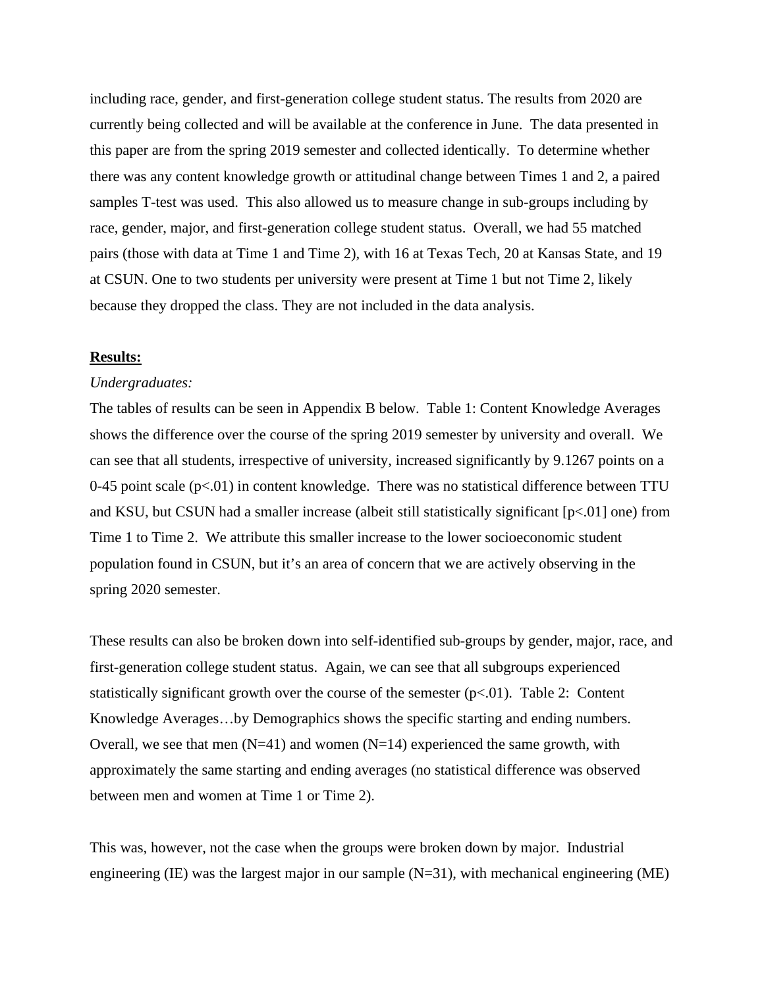including race, gender, and first-generation college student status. The results from 2020 are currently being collected and will be available at the conference in June. The data presented in this paper are from the spring 2019 semester and collected identically. To determine whether there was any content knowledge growth or attitudinal change between Times 1 and 2, a paired samples T-test was used. This also allowed us to measure change in sub-groups including by race, gender, major, and first-generation college student status. Overall, we had 55 matched pairs (those with data at Time 1 and Time 2), with 16 at Texas Tech, 20 at Kansas State, and 19 at CSUN. One to two students per university were present at Time 1 but not Time 2, likely because they dropped the class. They are not included in the data analysis.

### **Results:**

#### *Undergraduates:*

The tables of results can be seen in Appendix B below. Table 1: Content Knowledge Averages shows the difference over the course of the spring 2019 semester by university and overall. We can see that all students, irrespective of university, increased significantly by 9.1267 points on a 0-45 point scale  $(p<.01)$  in content knowledge. There was no statistical difference between TTU and KSU, but CSUN had a smaller increase (albeit still statistically significant [p<.01] one) from Time 1 to Time 2. We attribute this smaller increase to the lower socioeconomic student population found in CSUN, but it's an area of concern that we are actively observing in the spring 2020 semester.

These results can also be broken down into self-identified sub-groups by gender, major, race, and first-generation college student status. Again, we can see that all subgroups experienced statistically significant growth over the course of the semester  $(p<.01)$ . Table 2: Content Knowledge Averages…by Demographics shows the specific starting and ending numbers. Overall, we see that men  $(N=41)$  and women  $(N=14)$  experienced the same growth, with approximately the same starting and ending averages (no statistical difference was observed between men and women at Time 1 or Time 2).

This was, however, not the case when the groups were broken down by major. Industrial engineering (IE) was the largest major in our sample  $(N=31)$ , with mechanical engineering (ME)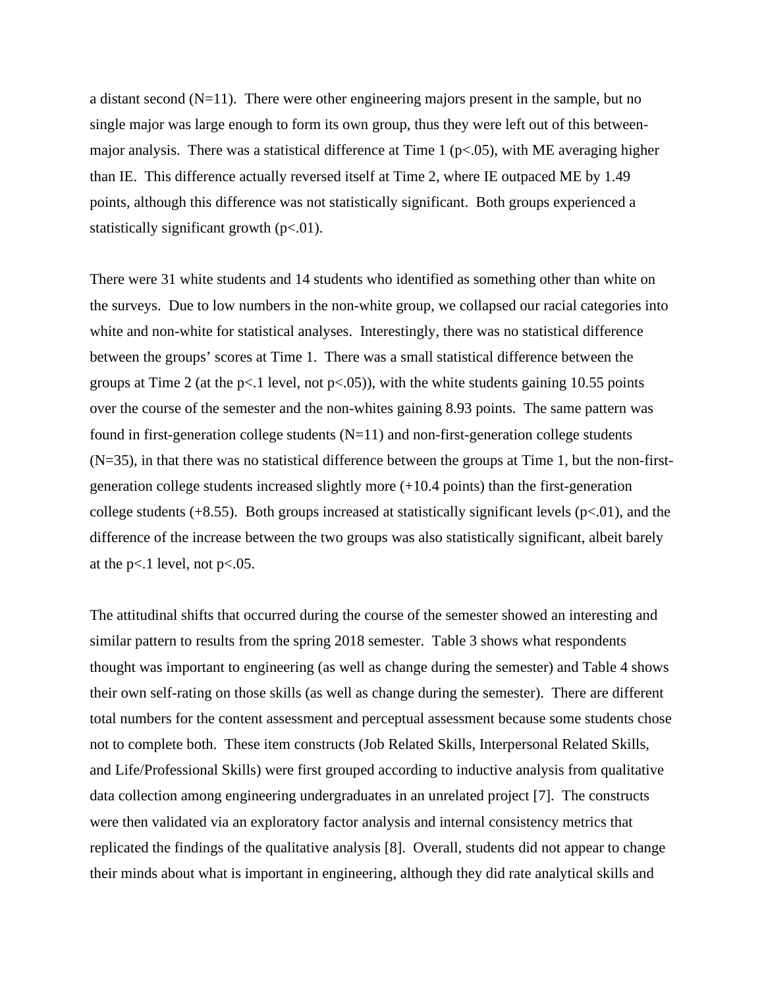a distant second  $(N=11)$ . There were other engineering majors present in the sample, but no single major was large enough to form its own group, thus they were left out of this betweenmajor analysis. There was a statistical difference at Time 1 ( $p$ <.05), with ME averaging higher than IE. This difference actually reversed itself at Time 2, where IE outpaced ME by 1.49 points, although this difference was not statistically significant. Both groups experienced a statistically significant growth  $(p<.01)$ .

There were 31 white students and 14 students who identified as something other than white on the surveys. Due to low numbers in the non-white group, we collapsed our racial categories into white and non-white for statistical analyses. Interestingly, there was no statistical difference between the groups' scores at Time 1. There was a small statistical difference between the groups at Time 2 (at the  $p<1$  level, not  $p<0.05$ )), with the white students gaining 10.55 points over the course of the semester and the non-whites gaining 8.93 points. The same pattern was found in first-generation college students  $(N=11)$  and non-first-generation college students  $(N=35)$ , in that there was no statistical difference between the groups at Time 1, but the non-firstgeneration college students increased slightly more (+10.4 points) than the first-generation college students  $(+8.55)$ . Both groups increased at statistically significant levels  $(p<.01)$ , and the difference of the increase between the two groups was also statistically significant, albeit barely at the  $p<1$  level, not  $p<0.05$ .

The attitudinal shifts that occurred during the course of the semester showed an interesting and similar pattern to results from the spring 2018 semester. Table 3 shows what respondents thought was important to engineering (as well as change during the semester) and Table 4 shows their own self-rating on those skills (as well as change during the semester). There are different total numbers for the content assessment and perceptual assessment because some students chose not to complete both. These item constructs (Job Related Skills, Interpersonal Related Skills, and Life/Professional Skills) were first grouped according to inductive analysis from qualitative data collection among engineering undergraduates in an unrelated project [7]. The constructs were then validated via an exploratory factor analysis and internal consistency metrics that replicated the findings of the qualitative analysis [8]. Overall, students did not appear to change their minds about what is important in engineering, although they did rate analytical skills and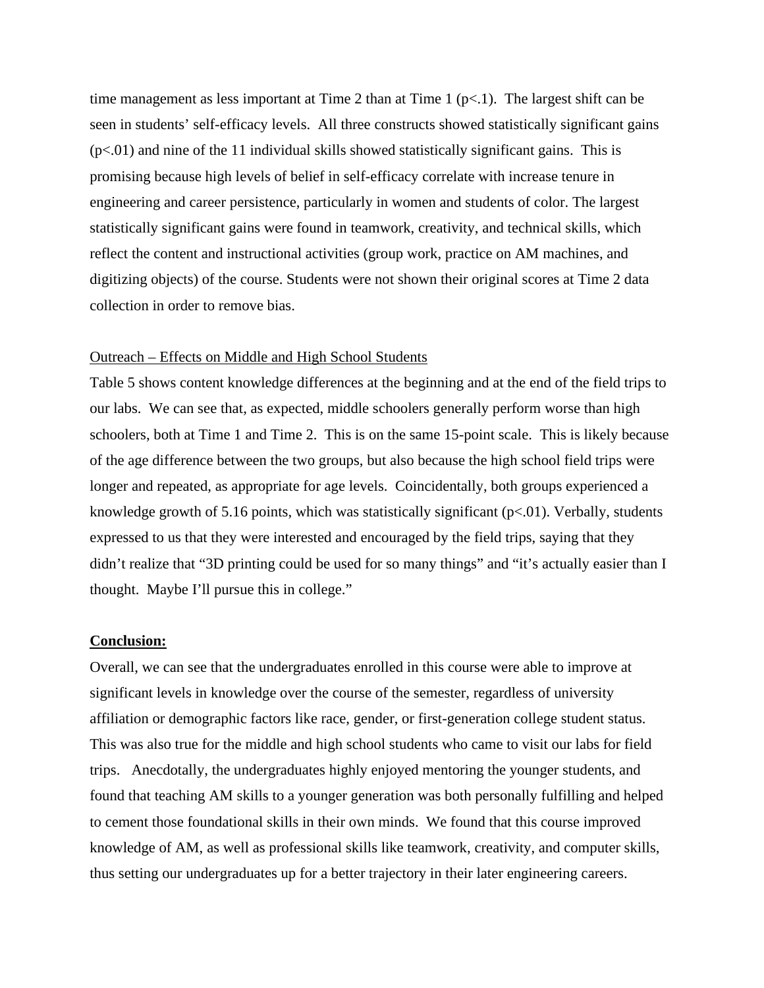time management as less important at Time 2 than at Time 1 ( $p<1$ ). The largest shift can be seen in students' self-efficacy levels. All three constructs showed statistically significant gains  $(p<0.01)$  and nine of the 11 individual skills showed statistically significant gains. This is promising because high levels of belief in self-efficacy correlate with increase tenure in engineering and career persistence, particularly in women and students of color. The largest statistically significant gains were found in teamwork, creativity, and technical skills, which reflect the content and instructional activities (group work, practice on AM machines, and digitizing objects) of the course. Students were not shown their original scores at Time 2 data collection in order to remove bias.

## Outreach – Effects on Middle and High School Students

Table 5 shows content knowledge differences at the beginning and at the end of the field trips to our labs. We can see that, as expected, middle schoolers generally perform worse than high schoolers, both at Time 1 and Time 2. This is on the same 15-point scale. This is likely because of the age difference between the two groups, but also because the high school field trips were longer and repeated, as appropriate for age levels. Coincidentally, both groups experienced a knowledge growth of 5.16 points, which was statistically significant  $(p<0.01)$ . Verbally, students expressed to us that they were interested and encouraged by the field trips, saying that they didn't realize that "3D printing could be used for so many things" and "it's actually easier than I thought. Maybe I'll pursue this in college."

# **Conclusion:**

Overall, we can see that the undergraduates enrolled in this course were able to improve at significant levels in knowledge over the course of the semester, regardless of university affiliation or demographic factors like race, gender, or first-generation college student status. This was also true for the middle and high school students who came to visit our labs for field trips. Anecdotally, the undergraduates highly enjoyed mentoring the younger students, and found that teaching AM skills to a younger generation was both personally fulfilling and helped to cement those foundational skills in their own minds. We found that this course improved knowledge of AM, as well as professional skills like teamwork, creativity, and computer skills, thus setting our undergraduates up for a better trajectory in their later engineering careers.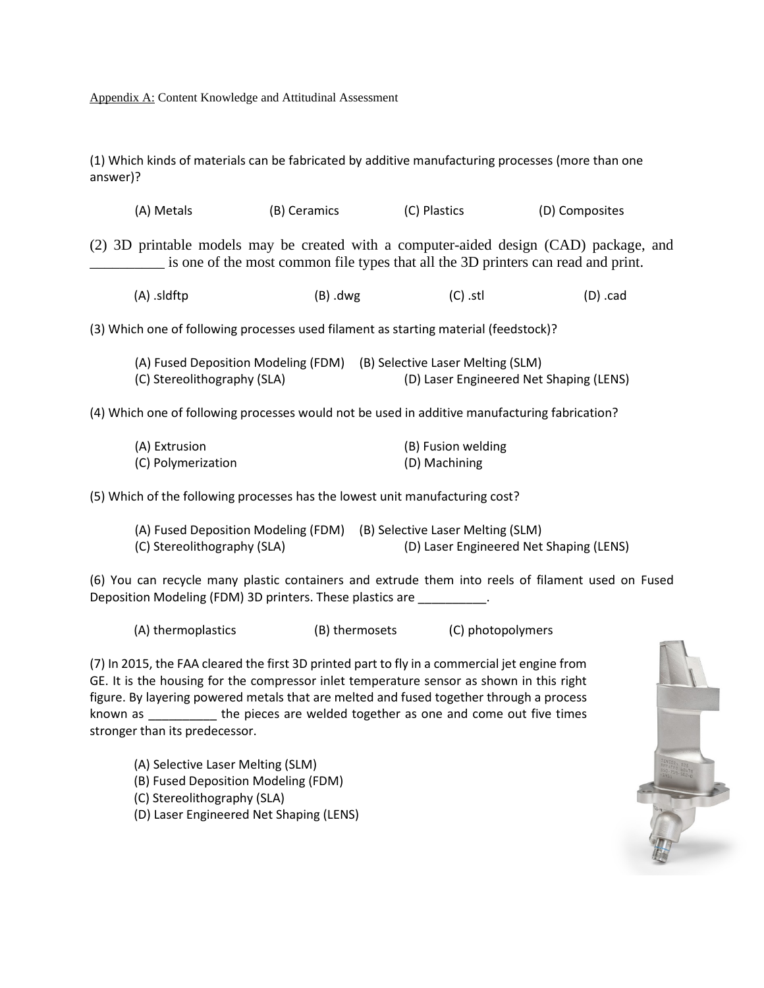Appendix A: Content Knowledge and Attitudinal Assessment

(1) Which kinds of materials can be fabricated by additive manufacturing processes (more than one answer)?

| (2) 3D printable models may be created with a computer-aided design (CAD) package, and | is one of the most common file types that all the 3D printers can read and print. |                                                                              |           |
|----------------------------------------------------------------------------------------|-----------------------------------------------------------------------------------|------------------------------------------------------------------------------|-----------|
| (A) .sldftp                                                                            | (B) .dwg                                                                          | $(C)$ .stl                                                                   | $(D)$ cad |
| (3) Which one of following processes used filament as starting material (feedstock)?   |                                                                                   |                                                                              |           |
| (A) Fused Deposition Modeling (FDM)<br>(C) Stereolithography (SLA)                     |                                                                                   | (B) Selective Laser Melting (SLM)<br>(D) Laser Engineered Net Shaping (LENS) |           |

(A) Metals (B) Ceramics (C) Plastics (D) Composites

(4) Which one of following processes would not be used in additive manufacturing fabrication?

| (A) Extrusion      | (B) Fusion welding |
|--------------------|--------------------|
| (C) Polymerization | (D) Machining      |

(5) Which of the following processes has the lowest unit manufacturing cost?

| (A) Fused Deposition Modeling (FDM) (B) Selective Laser Melting (SLM) |                                         |
|-----------------------------------------------------------------------|-----------------------------------------|
| (C) Stereolithography (SLA)                                           | (D) Laser Engineered Net Shaping (LENS) |

(6) You can recycle many plastic containers and extrude them into reels of filament used on Fused Deposition Modeling (FDM) 3D printers. These plastics are **which are construently** 

(A) thermoplastics (B) thermosets (C) photopolymers

(7) In 2015, the FAA cleared the first 3D printed part to fly in a commercial jet engine from GE. It is the housing for the compressor inlet temperature sensor as shown in this right figure. By layering powered metals that are melted and fused together through a process known as \_\_\_\_\_\_\_\_\_\_ the pieces are welded together as one and come out five times stronger than its predecessor.

- (A) Selective Laser Melting (SLM)
- (B) Fused Deposition Modeling (FDM)
- (C) Stereolithography (SLA)
- (D) Laser Engineered Net Shaping (LENS)

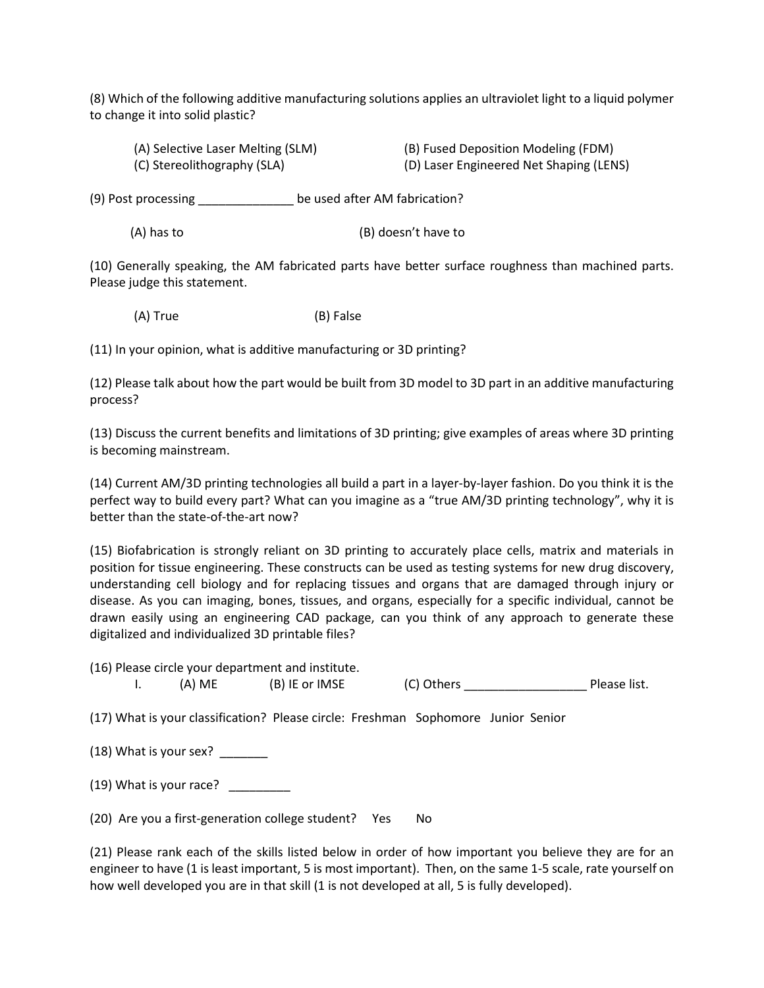(8) Which of the following additive manufacturing solutions applies an ultraviolet light to a liquid polymer to change it into solid plastic?

| (A) Selective Laser Melting (SLM) | (B) Fused Deposition Modeling (FDM)     |
|-----------------------------------|-----------------------------------------|
| (C) Stereolithography (SLA)       | (D) Laser Engineered Net Shaping (LENS) |

(9) Post processing \_\_\_\_\_\_\_\_\_\_\_\_\_\_ be used after AM fabrication?

(A) has to (B) doesn't have to

(10) Generally speaking, the AM fabricated parts have better surface roughness than machined parts. Please judge this statement.

(A) True (B) False

(11) In your opinion, what is additive manufacturing or 3D printing?

(12) Please talk about how the part would be built from 3D model to 3D part in an additive manufacturing process?

(13) Discuss the current benefits and limitations of 3D printing; give examples of areas where 3D printing is becoming mainstream.

(14) Current AM/3D printing technologies all build a part in a layer-by-layer fashion. Do you think it is the perfect way to build every part? What can you imagine as a "true AM/3D printing technology", why it is better than the state-of-the-art now?

(15) Biofabrication is strongly reliant on 3D printing to accurately place cells, matrix and materials in position for tissue engineering. These constructs can be used as testing systems for new drug discovery, understanding cell biology and for replacing tissues and organs that are damaged through injury or disease. As you can imaging, bones, tissues, and organs, especially for a specific individual, cannot be drawn easily using an engineering CAD package, can you think of any approach to generate these digitalized and individualized 3D printable files?

|        | (16) Please circle your department and institute. |            |              |
|--------|---------------------------------------------------|------------|--------------|
| (A) ME | (B) IE or IMSE                                    | (C) Others | Please list. |

(17) What is your classification? Please circle: Freshman Sophomore Junior Senior

 $(18)$  What is your sex?

 $(19)$  What is your race?

(20) Are you a first-generation college student? Yes No

(21) Please rank each of the skills listed below in order of how important you believe they are for an engineer to have (1 is least important, 5 is most important). Then, on the same 1-5 scale, rate yourself on how well developed you are in that skill (1 is not developed at all, 5 is fully developed).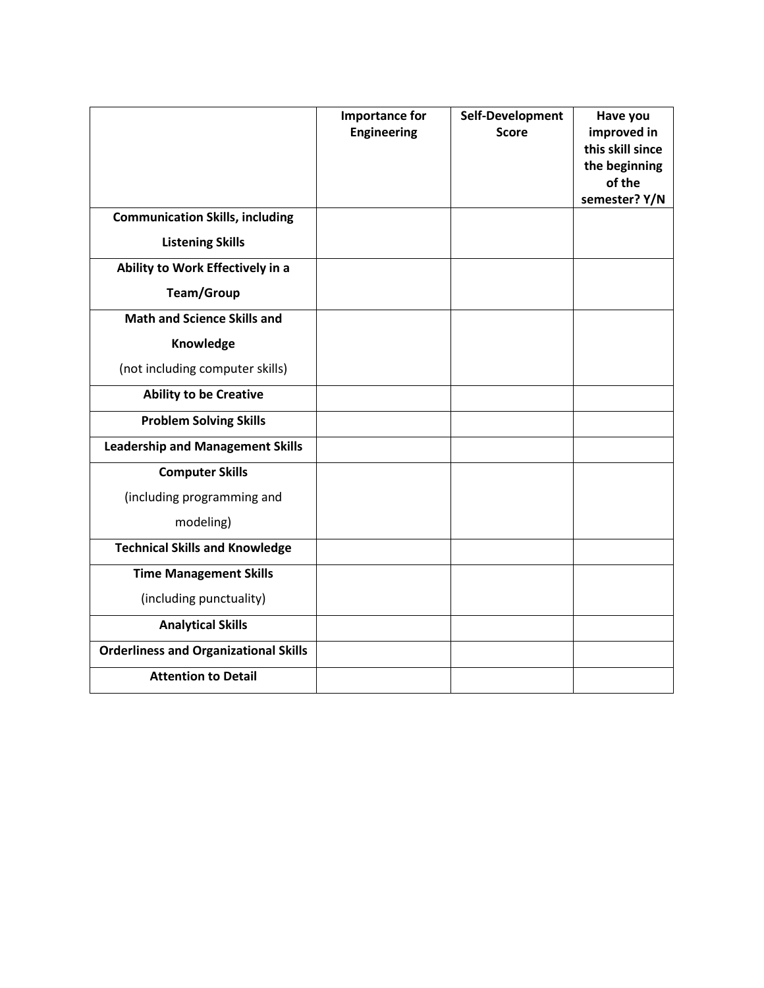|                                              | <b>Importance for</b><br><b>Engineering</b> | Self-Development<br><b>Score</b> | Have you<br>improved in<br>this skill since<br>the beginning<br>of the<br>semester? Y/N |
|----------------------------------------------|---------------------------------------------|----------------------------------|-----------------------------------------------------------------------------------------|
| <b>Communication Skills, including</b>       |                                             |                                  |                                                                                         |
| <b>Listening Skills</b>                      |                                             |                                  |                                                                                         |
| Ability to Work Effectively in a             |                                             |                                  |                                                                                         |
| <b>Team/Group</b>                            |                                             |                                  |                                                                                         |
| <b>Math and Science Skills and</b>           |                                             |                                  |                                                                                         |
| Knowledge                                    |                                             |                                  |                                                                                         |
| (not including computer skills)              |                                             |                                  |                                                                                         |
| <b>Ability to be Creative</b>                |                                             |                                  |                                                                                         |
| <b>Problem Solving Skills</b>                |                                             |                                  |                                                                                         |
| <b>Leadership and Management Skills</b>      |                                             |                                  |                                                                                         |
| <b>Computer Skills</b>                       |                                             |                                  |                                                                                         |
| (including programming and                   |                                             |                                  |                                                                                         |
| modeling)                                    |                                             |                                  |                                                                                         |
| <b>Technical Skills and Knowledge</b>        |                                             |                                  |                                                                                         |
| <b>Time Management Skills</b>                |                                             |                                  |                                                                                         |
| (including punctuality)                      |                                             |                                  |                                                                                         |
| <b>Analytical Skills</b>                     |                                             |                                  |                                                                                         |
| <b>Orderliness and Organizational Skills</b> |                                             |                                  |                                                                                         |
| <b>Attention to Detail</b>                   |                                             |                                  |                                                                                         |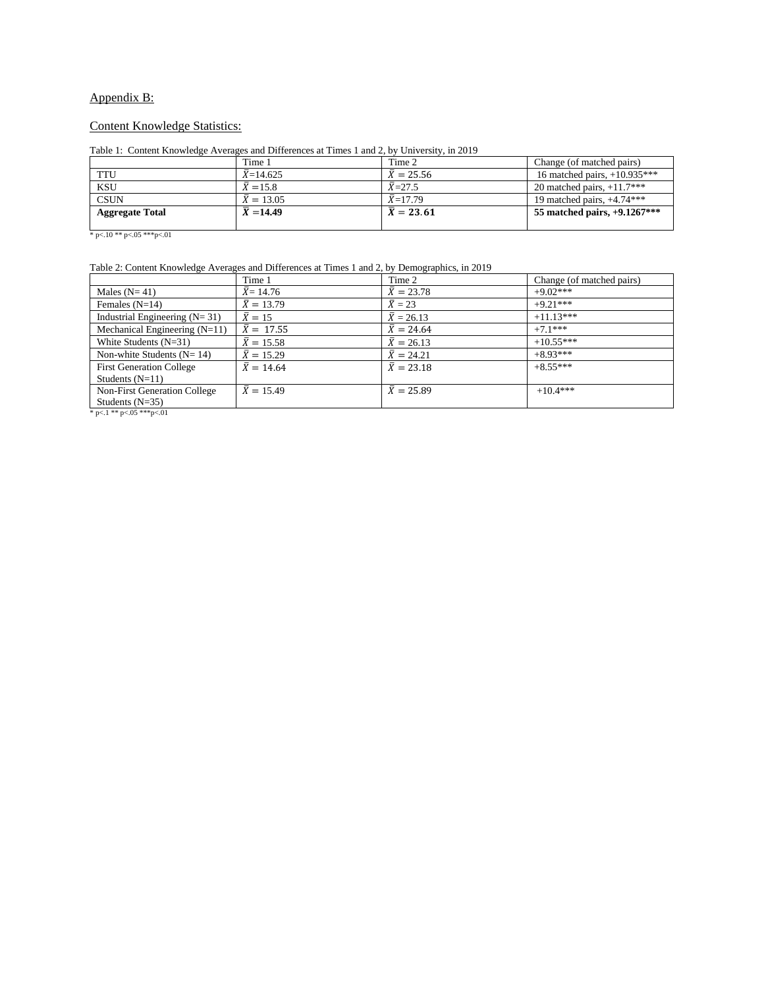# Appendix B:

### Content Knowledge Statistics:

#### Table 1: Content Knowledge Averages and Differences at Times 1 and 2, by University, in 2019

|                        | Time 1                 | Time 2            | Change (of matched pairs)      |
|------------------------|------------------------|-------------------|--------------------------------|
| <b>TTU</b>             | $\bar{X}$ =14.625      | $\bar{X} = 25.56$ | 16 matched pairs, $+10.935***$ |
| <b>KSU</b>             | $\bar{X} = 15.8$       | $\bar{X} = 27.5$  | 20 matched pairs, $+11.7***$   |
| <b>CSUN</b>            | $X = 13.05$            | $X=17.79$         | 19 matched pairs, $+4.74***$   |
| <b>Aggregate Total</b> | $\overline{X}$ = 14.49 | $\bar{X} = 23.61$ | 55 matched pairs, $+9.1267***$ |
|                        |                        |                   |                                |

\* p<.10 \*\* p<.05 \*\*\* p<.01

#### Table 2: Content Knowledge Averages and Differences at Times 1 and 2, by Demographics, in 2019

|                                     | Time 1              | Time 2              | Change (of matched pairs) |
|-------------------------------------|---------------------|---------------------|---------------------------|
| Males $(N=41)$                      | $\bar{X}$ = 14.76   | $\bar{X} = 23.78$   | $+9.02***$                |
| Females $(N=14)$                    | $\bar{X} = 13.79$   | $\overline{X} = 23$ | $+9.21***$                |
| Industrial Engineering $(N=31)$     | $\overline{X} = 15$ | $\bar{X} = 26.13$   | $+11.13***$               |
| Mechanical Engineering $(N=11)$     | $\bar{X} = 17.55$   | $\bar{X} = 24.64$   | $+7.1***$                 |
| White Students $(N=31)$             | $\bar{X} = 15.58$   | $\bar{X} = 26.13$   | $+10.55***$               |
| Non-white Students $(N=14)$         | $\bar{X} = 15.29$   | $\bar{X} = 24.21$   | $+8.93***$                |
| <b>First Generation College</b>     | $\bar{X} = 14.64$   | $\bar{X} = 23.18$   | $+8.55***$                |
| Students $(N=11)$                   |                     |                     |                           |
| <b>Non-First Generation College</b> | $\bar{X} = 15.49$   | $\bar{X} = 25.89$   | $+10.4***$                |
| Students $(N=35)$                   |                     |                     |                           |
| * p<.1 ** p<.05 *** p<.01           |                     |                     |                           |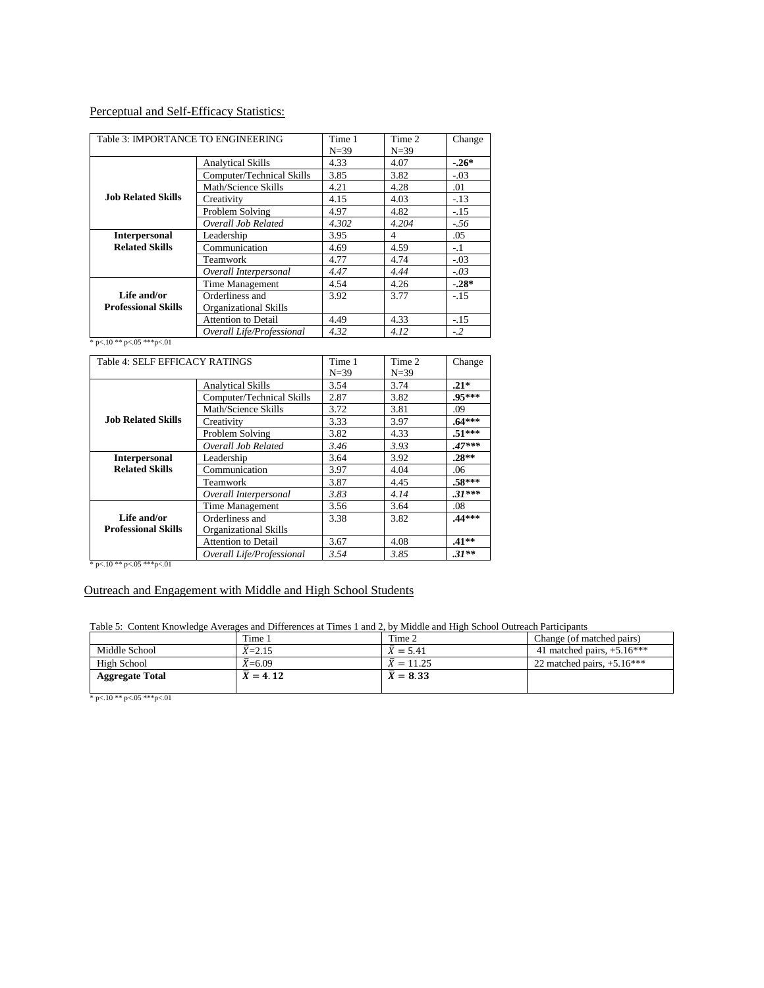# Perceptual and Self-Efficacy Statistics:

| Table 3: IMPORTANCE TO ENGINEERING |                              | Time 1<br>$N = 39$ | Time 2<br>$N = 39$ | Change |
|------------------------------------|------------------------------|--------------------|--------------------|--------|
|                                    | <b>Analytical Skills</b>     | 4.33               | 4.07               | $-26*$ |
|                                    | Computer/Technical Skills    | 3.85               | 3.82               | $-.03$ |
|                                    | Math/Science Skills          | 4.21               | 4.28               | .01    |
| <b>Job Related Skills</b>          | Creativity                   | 4.15               | 4.03               | $-.13$ |
|                                    | Problem Solving              | 4.97               | 4.82               | $-.15$ |
|                                    | Overall Job Related          | 4.302              | 4.204              | $-.56$ |
| <b>Interpersonal</b>               | Leadership                   | 3.95               | 4                  | .05    |
| <b>Related Skills</b>              | Communication                | 4.69               | 4.59               | $-.1$  |
|                                    | Teamwork                     | 4.77               | 4.74               | $-.03$ |
|                                    | Overall Interpersonal        | 4.47               | 4.44               | $-.03$ |
|                                    | Time Management              | 4.54               | 4.26               | $-28*$ |
| Life and/or                        | Orderliness and              | 3.92               | 3.77               | $-.15$ |
| <b>Professional Skills</b>         | <b>Organizational Skills</b> |                    |                    |        |
|                                    | <b>Attention to Detail</b>   | 4.49               | 4.33               | $-.15$ |
|                                    | Overall Life/Professional    | 4.32               | 4.12               | $-.2$  |

\* p<.10 \*\* p<.05 \*\*\* p<.01

| Table 4: SELF EFFICACY RATINGS |                            | Time 1 | Time 2   | Change   |
|--------------------------------|----------------------------|--------|----------|----------|
|                                |                            | $N=39$ | $N = 39$ |          |
|                                | <b>Analytical Skills</b>   | 3.54   | 3.74     | $.21*$   |
|                                | Computer/Technical Skills  | 2.87   | 3.82     | .95***   |
|                                | Math/Science Skills        | 3.72   | 3.81     | .09      |
| <b>Job Related Skills</b>      | Creativity                 | 3.33   | 3.97     | $.64***$ |
|                                | Problem Solving            | 3.82   | 4.33     | $.51***$ |
|                                | Overall Job Related        | 3.46   | 3.93     | $.47***$ |
| <b>Interpersonal</b>           | Leadership                 | 3.64   | 3.92     | $.28**$  |
| <b>Related Skills</b>          | Communication              | 3.97   | 4.04     | .06      |
|                                | Teamwork                   | 3.87   | 4.45     | $.58***$ |
|                                | Overall Interpersonal      | 3.83   | 4.14     | $.31***$ |
|                                | Time Management            | 3.56   | 3.64     | .08      |
| Life and/or                    | Orderliness and            | 3.38   | 3.82     | $.44***$ |
| <b>Professional Skills</b>     | Organizational Skills      |        |          |          |
|                                | <b>Attention to Detail</b> | 3.67   | 4.08     | $.41**$  |
|                                | Overall Life/Professional  | 3.54   | 3.85     | $.31**$  |

\* p<.10 \*\* p<.05 \*\*\* p<.01

# Outreach and Engagement with Middle and High School Students

Table 5: Content Knowledge Averages and Differences at Times 1 and 2, by Middle and High School Outreach Participants

|                        | Time 1          | Time 2                | Change (of matched pairs)    |
|------------------------|-----------------|-----------------------|------------------------------|
| Middle School          | $\bar{X}$ =2.15 | $\bar{X} = 5.41$      | 41 matched pairs, $+5.16***$ |
| High School            | $X=6.09$        | $X = 11.25$           | 22 matched pairs, $+5.16***$ |
| <b>Aggregate Total</b> | $X = 4.12$      | $\overline{X} = 8.33$ |                              |
|                        |                 |                       |                              |

 $\,^*$  p<.10  $^{**}$  p<.05  $^{***}$  p<.01